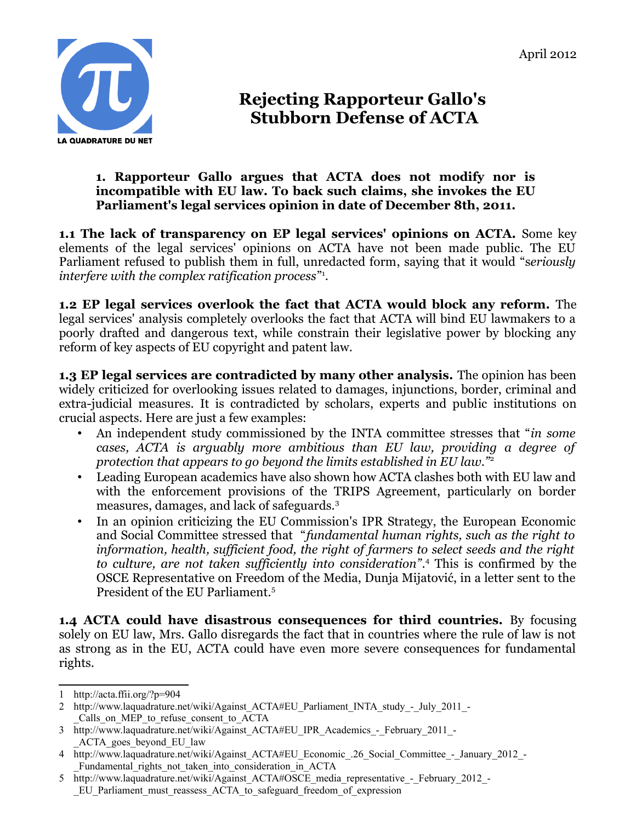

## **Rejecting Rapporteur Gallo's Stubborn Defense of ACTA**

## **1. Rapporteur Gallo argues that ACTA does not modify nor is incompatible with EU law. To back such claims, she invokes the EU Parliament's legal services opinion in date of December 8th, 2011.**

**1.1 The lack of transparency on EP legal services' opinions on ACTA.** Some key elements of the legal services' opinions on ACTA have not been made public. The EU Parliament refused to publish them in full, unredacted form, saying that it would "s*eriously interfere with the complex ratification process*" [1](#page-0-0) .

**1.2 EP legal services overlook the fact that ACTA would block any reform.** The legal services' analysis completely overlooks the fact that ACTA will bind EU lawmakers to a poorly drafted and dangerous text, while constrain their legislative power by blocking any reform of key aspects of EU copyright and patent law.

**1.3 EP legal services are contradicted by many other analysis.** The opinion has been widely criticized for overlooking issues related to damages, injunctions, border, criminal and extra-judicial measures. It is contradicted by scholars, experts and public institutions on crucial aspects. Here are just a few examples:

- An independent study commissioned by the INTA committee stresses that "*in some cases, ACTA is arguably more ambitious than EU law, providing a degree of protection that appears to go beyond the limits established in EU law."*[2](#page-0-1)
- Leading European academics have also shown how ACTA clashes both with EU law and with the enforcement provisions of the TRIPS Agreement, particularly on border measures, damages, and lack of safeguards.[3](#page-0-2)
- In an opinion criticizing the EU Commission's IPR Strategy, the European Economic and Social Committee stressed that "*fundamental human rights, such as the right to information, health, sufficient food, the right of farmers to select seeds and the right to culture, are not taken sufficiently into consideration"*. [4](#page-0-3) This is confirmed by the OSCE Representative on Freedom of the Media, Dunja Mijatović, in a letter sent to the President of the EU Parliament.[5](#page-0-4)

**1.4 ACTA could have disastrous consequences for third countries.** By focusing solely on EU law, Mrs. Gallo disregards the fact that in countries where the rule of law is not as strong as in the EU, ACTA could have even more severe consequences for fundamental rights.

<span id="page-0-0"></span><sup>1</sup> http://acta.ffii.org/?p=904

<span id="page-0-1"></span><sup>2</sup> http://www.laquadrature.net/wiki/Against\_ACTA#EU\_Parliament\_INTA\_study\_-\_July\_2011\_-Calls on MEP to refuse consent to ACTA

<span id="page-0-2"></span><sup>3</sup> http://www.laquadrature.net/wiki/Against\_ACTA#EU\_IPR\_Academics\_-\_February\_2011\_- \_ACTA\_goes\_beyond\_EU\_law

<span id="page-0-3"></span><sup>4</sup> http://www.laquadrature.net/wiki/Against\_ACTA#EU\_Economic\_.26\_Social\_Committee\_-\_January\_2012\_-Fundamental rights not taken into consideration in ACTA

<span id="page-0-4"></span><sup>5</sup> http://www.laquadrature.net/wiki/Against ACTA#OSCE media representative - February 2012 -EU Parliament must reassess ACTA to safeguard freedom of expression